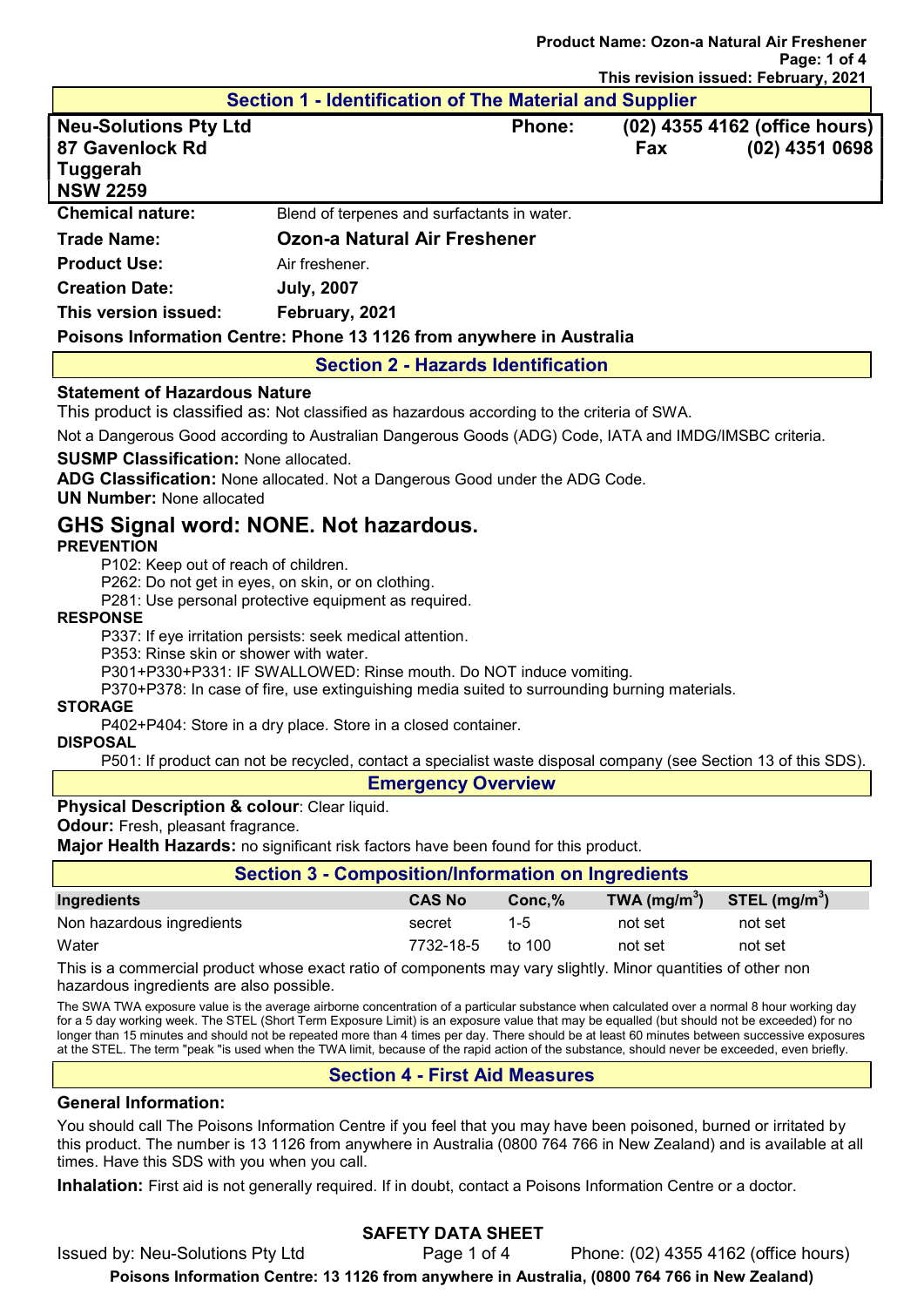# Page: 1 of 4 This revision issued: February, 2021 Section 1 - Identification of The Material and Supplier Neu-Solutions Pty Ltd Phone: (02) 4355 4162 (office hours) 87 Gavenlock Rd Fax (02) 4351 0698 **Tuggerah** NSW 2259 Chemical nature: Blend of terpenes and surfactants in water. Trade Name: Ozon-a Natural Air Freshener **Product Use:** Air freshener. Creation Date: July, 2007 This version issued: February, 2021 Poisons Information Centre: Phone 13 1126 from anywhere in Australia

Product Name: Ozon-a Natural Air Freshener

### Section 2 - Hazards Identification

### Statement of Hazardous Nature

This product is classified as: Not classified as hazardous according to the criteria of SWA.

Not a Dangerous Good according to Australian Dangerous Goods (ADG) Code, IATA and IMDG/IMSBC criteria.

SUSMP Classification: None allocated.

ADG Classification: None allocated. Not a Dangerous Good under the ADG Code.

UN Number: None allocated

# GHS Signal word: NONE. Not hazardous.

### **PREVENTION**

P102: Keep out of reach of children.

P262: Do not get in eyes, on skin, or on clothing.

P281: Use personal protective equipment as required.

#### RESPONSE

P337: If eye irritation persists: seek medical attention.

P353: Rinse skin or shower with water.

P301+P330+P331: IF SWALLOWED: Rinse mouth. Do NOT induce vomiting.

P370+P378: In case of fire, use extinguishing media suited to surrounding burning materials.

### STORAGE

P402+P404: Store in a dry place. Store in a closed container.

#### **DISPOSAL**

P501: If product can not be recycled, contact a specialist waste disposal company (see Section 13 of this SDS).

#### Emergency Overview

### Physical Description & colour: Clear liquid.

**Odour:** Fresh, pleasant fragrance.

Major Health Hazards: no significant risk factors have been found for this product.

| <b>Section 3 - Composition/Information on Ingredients</b> |  |                                  |                 |  |
|-----------------------------------------------------------|--|----------------------------------|-----------------|--|
| <b>CAS No</b>                                             |  |                                  | STEL $(mg/m^3)$ |  |
| secret                                                    |  | not set                          | not set         |  |
| 7732-18-5                                                 |  | not set                          | not set         |  |
|                                                           |  | $Conc.\%$<br>$1 - 5$<br>to $100$ | TWA $(mg/m3)$   |  |

This is a commercial product whose exact ratio of components may vary slightly. Minor quantities of other non hazardous ingredients are also possible.

The SWA TWA exposure value is the average airborne concentration of a particular substance when calculated over a normal 8 hour working day for a 5 day working week. The STEL (Short Term Exposure Limit) is an exposure value that may be equalled (but should not be exceeded) for no longer than 15 minutes and should not be repeated more than 4 times per day. There should be at least 60 minutes between successive exposures at the STEL. The term "peak "is used when the TWA limit, because of the rapid action of the substance, should never be exceeded, even briefly.

## Section 4 - First Aid Measures

## General Information:

You should call The Poisons Information Centre if you feel that you may have been poisoned, burned or irritated by this product. The number is 13 1126 from anywhere in Australia (0800 764 766 in New Zealand) and is available at all times. Have this SDS with you when you call.

Inhalation: First aid is not generally required. If in doubt, contact a Poisons Information Centre or a doctor.

# SAFETY DATA SHEET

Issued by: Neu-Solutions Pty Ltd Page 1 of 4 Phone: (02) 4355 4162 (office hours) Poisons Information Centre: 13 1126 from anywhere in Australia, (0800 764 766 in New Zealand)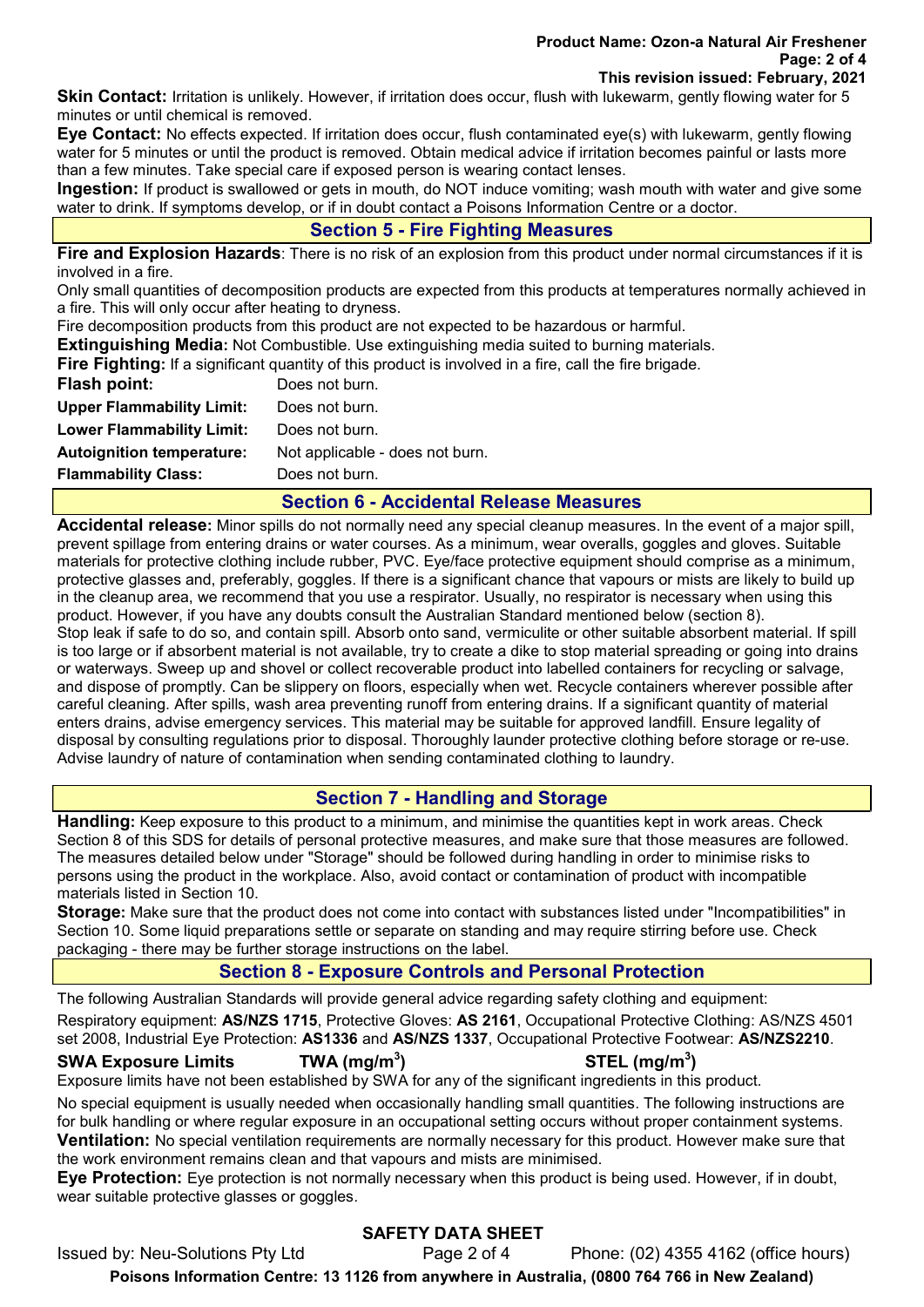#### Product Name: Ozon-a Natural Air Freshener Page: 2 of 4 This revision issued: February, 2021

Skin Contact: Irritation is unlikely. However, if irritation does occur, flush with lukewarm, gently flowing water for 5 minutes or until chemical is removed.

Eye Contact: No effects expected. If irritation does occur, flush contaminated eye(s) with lukewarm, gently flowing water for 5 minutes or until the product is removed. Obtain medical advice if irritation becomes painful or lasts more than a few minutes. Take special care if exposed person is wearing contact lenses.

Ingestion: If product is swallowed or gets in mouth, do NOT induce vomiting; wash mouth with water and give some water to drink. If symptoms develop, or if in doubt contact a Poisons Information Centre or a doctor.

# Section 5 - Fire Fighting Measures

Fire and Explosion Hazards: There is no risk of an explosion from this product under normal circumstances if it is involved in a fire.

Only small quantities of decomposition products are expected from this products at temperatures normally achieved in a fire. This will only occur after heating to dryness.

Fire decomposition products from this product are not expected to be hazardous or harmful.

Extinguishing Media: Not Combustible. Use extinguishing media suited to burning materials.

Fire Fighting: If a significant quantity of this product is involved in a fire, call the fire brigade.

| Flash point:                     | Does not burn.                  |
|----------------------------------|---------------------------------|
| <b>Upper Flammability Limit:</b> | Does not burn.                  |
| <b>Lower Flammability Limit:</b> | Does not burn.                  |
| <b>Autoignition temperature:</b> | Not applicable - does not burn. |
| <b>Flammability Class:</b>       | Does not burn.                  |

## Section 6 - Accidental Release Measures

Accidental release: Minor spills do not normally need any special cleanup measures. In the event of a major spill, prevent spillage from entering drains or water courses. As a minimum, wear overalls, goggles and gloves. Suitable materials for protective clothing include rubber, PVC. Eye/face protective equipment should comprise as a minimum, protective glasses and, preferably, goggles. If there is a significant chance that vapours or mists are likely to build up in the cleanup area, we recommend that you use a respirator. Usually, no respirator is necessary when using this product. However, if you have any doubts consult the Australian Standard mentioned below (section 8). Stop leak if safe to do so, and contain spill. Absorb onto sand, vermiculite or other suitable absorbent material. If spill is too large or if absorbent material is not available, try to create a dike to stop material spreading or going into drains or waterways. Sweep up and shovel or collect recoverable product into labelled containers for recycling or salvage, and dispose of promptly. Can be slippery on floors, especially when wet. Recycle containers wherever possible after careful cleaning. After spills, wash area preventing runoff from entering drains. If a significant quantity of material enters drains, advise emergency services. This material may be suitable for approved landfill. Ensure legality of disposal by consulting regulations prior to disposal. Thoroughly launder protective clothing before storage or re-use. Advise laundry of nature of contamination when sending contaminated clothing to laundry.

# Section 7 - Handling and Storage

Handling: Keep exposure to this product to a minimum, and minimise the quantities kept in work areas. Check Section 8 of this SDS for details of personal protective measures, and make sure that those measures are followed. The measures detailed below under "Storage" should be followed during handling in order to minimise risks to persons using the product in the workplace. Also, avoid contact or contamination of product with incompatible materials listed in Section 10.

Storage: Make sure that the product does not come into contact with substances listed under "Incompatibilities" in Section 10. Some liquid preparations settle or separate on standing and may require stirring before use. Check packaging - there may be further storage instructions on the label.

# Section 8 - Exposure Controls and Personal Protection

The following Australian Standards will provide general advice regarding safety clothing and equipment:

Respiratory equipment: AS/NZS 1715, Protective Gloves: AS 2161, Occupational Protective Clothing: AS/NZS 4501 set 2008, Industrial Eye Protection: AS1336 and AS/NZS 1337, Occupational Protective Footwear: AS/NZS2210.

### SWA Exposure Limits TWA (mg/m<sup>3</sup>)

 $\mathsf{STEL}\;(\mathsf{mg/m^3})$ 

Exposure limits have not been established by SWA for any of the significant ingredients in this product.

No special equipment is usually needed when occasionally handling small quantities. The following instructions are for bulk handling or where regular exposure in an occupational setting occurs without proper containment systems. **Ventilation:** No special ventilation requirements are normally necessary for this product. However make sure that the work environment remains clean and that vapours and mists are minimised.

Eye Protection: Eye protection is not normally necessary when this product is being used. However, if in doubt, wear suitable protective glasses or goggles.

# SAFETY DATA SHEET

Issued by: Neu-Solutions Pty Ltd Page 2 of 4 Phone: (02) 4355 4162 (office hours) Poisons Information Centre: 13 1126 from anywhere in Australia, (0800 764 766 in New Zealand)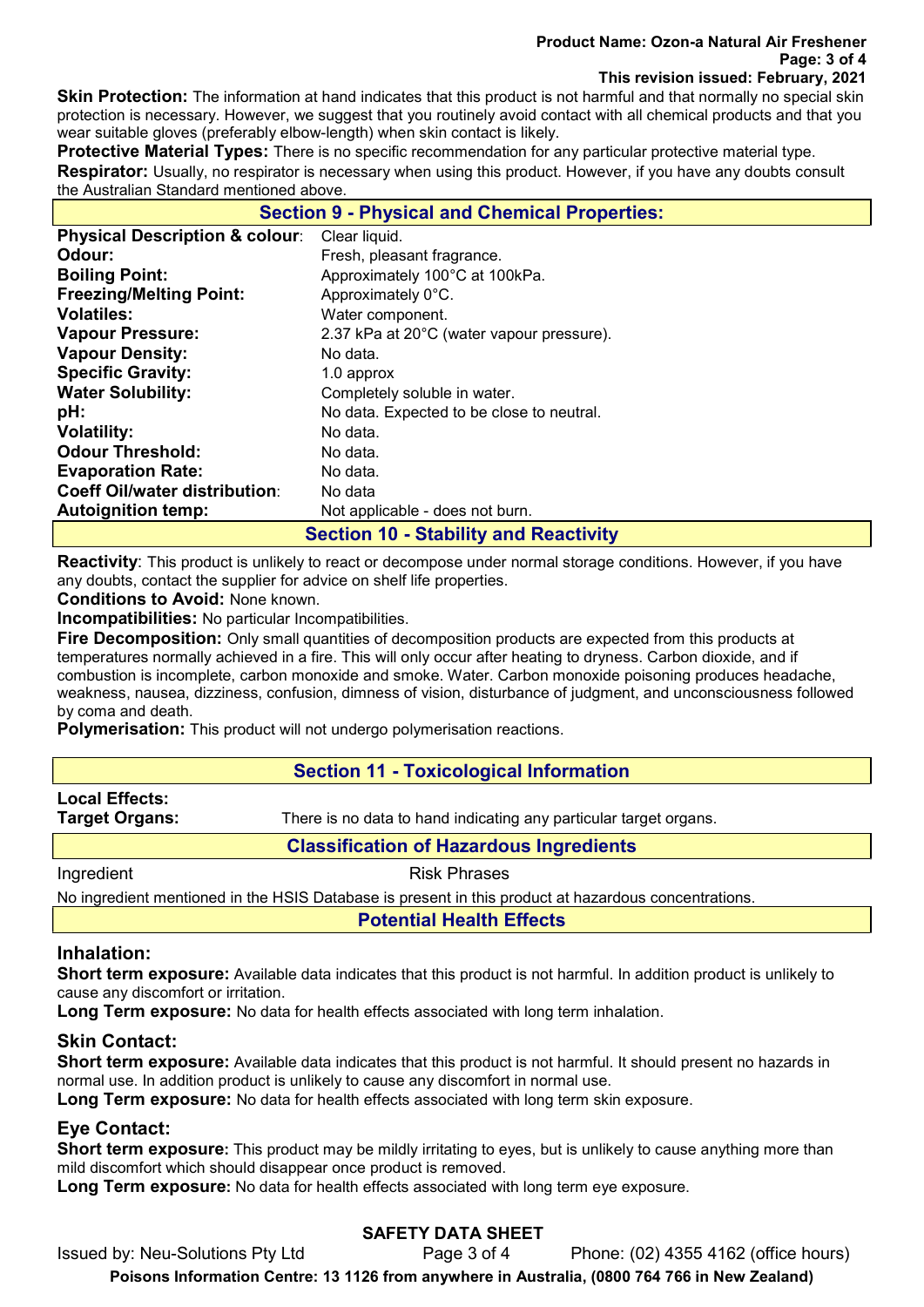#### Product Name: Ozon-a Natural Air Freshener Page: 3 of 4 This revision issued: February, 2021

Skin Protection: The information at hand indicates that this product is not harmful and that normally no special skin protection is necessary. However, we suggest that you routinely avoid contact with all chemical products and that you wear suitable gloves (preferably elbow-length) when skin contact is likely.

**Protective Material Types:** There is no specific recommendation for any particular protective material type. Respirator: Usually, no respirator is necessary when using this product. However, if you have any doubts consult the Australian Standard mentioned above.

| <b>Section 9 - Physical and Chemical Properties:</b> |                                           |  |  |  |
|------------------------------------------------------|-------------------------------------------|--|--|--|
| <b>Physical Description &amp; colour:</b>            | Clear liquid.                             |  |  |  |
| Odour:                                               | Fresh, pleasant fragrance.                |  |  |  |
| <b>Boiling Point:</b>                                | Approximately 100°C at 100kPa.            |  |  |  |
| <b>Freezing/Melting Point:</b>                       | Approximately 0°C.                        |  |  |  |
| <b>Volatiles:</b>                                    | Water component.                          |  |  |  |
| <b>Vapour Pressure:</b>                              | 2.37 kPa at 20°C (water vapour pressure). |  |  |  |
| <b>Vapour Density:</b>                               | No data.                                  |  |  |  |
| <b>Specific Gravity:</b>                             | 1.0 approx                                |  |  |  |
| <b>Water Solubility:</b>                             | Completely soluble in water.              |  |  |  |
| pH:                                                  | No data. Expected to be close to neutral. |  |  |  |
| <b>Volatility:</b>                                   | No data.                                  |  |  |  |
| <b>Odour Threshold:</b>                              | No data.                                  |  |  |  |
| <b>Evaporation Rate:</b>                             | No data.                                  |  |  |  |
| <b>Coeff Oil/water distribution:</b>                 | No data                                   |  |  |  |
| <b>Autoignition temp:</b>                            | Not applicable - does not burn.           |  |  |  |
| <b>Section 10 - Stability and Reactivity</b>         |                                           |  |  |  |

**Reactivity**: This product is unlikely to react or decompose under normal storage conditions. However, if you have any doubts, contact the supplier for advice on shelf life properties.

Conditions to Avoid: None known.

Incompatibilities: No particular Incompatibilities.

Fire Decomposition: Only small quantities of decomposition products are expected from this products at temperatures normally achieved in a fire. This will only occur after heating to dryness. Carbon dioxide, and if combustion is incomplete, carbon monoxide and smoke. Water. Carbon monoxide poisoning produces headache, weakness, nausea, dizziness, confusion, dimness of vision, disturbance of judgment, and unconsciousness followed by coma and death.

Polymerisation: This product will not undergo polymerisation reactions.

## Section 11 - Toxicological Information

# Local Effects:

**Target Organs:** There is no data to hand indicating any particular target organs.

# Classification of Hazardous Ingredients

Ingredient **Risk Phrases** 

No ingredient mentioned in the HSIS Database is present in this product at hazardous concentrations.

Potential Health Effects

## Inhalation:

Short term exposure: Available data indicates that this product is not harmful. In addition product is unlikely to cause any discomfort or irritation.

Long Term exposure: No data for health effects associated with long term inhalation.

## Skin Contact:

Short term exposure: Available data indicates that this product is not harmful. It should present no hazards in normal use. In addition product is unlikely to cause any discomfort in normal use.

Long Term exposure: No data for health effects associated with long term skin exposure.

# Eye Contact:

**Short term exposure:** This product may be mildly irritating to eyes, but is unlikely to cause anything more than mild discomfort which should disappear once product is removed.

Long Term exposure: No data for health effects associated with long term eye exposure.

# SAFETY DATA SHEET

Issued by: Neu-Solutions Pty Ltd Page 3 of 4 Phone: (02) 4355 4162 (office hours) Poisons Information Centre: 13 1126 from anywhere in Australia, (0800 764 766 in New Zealand)